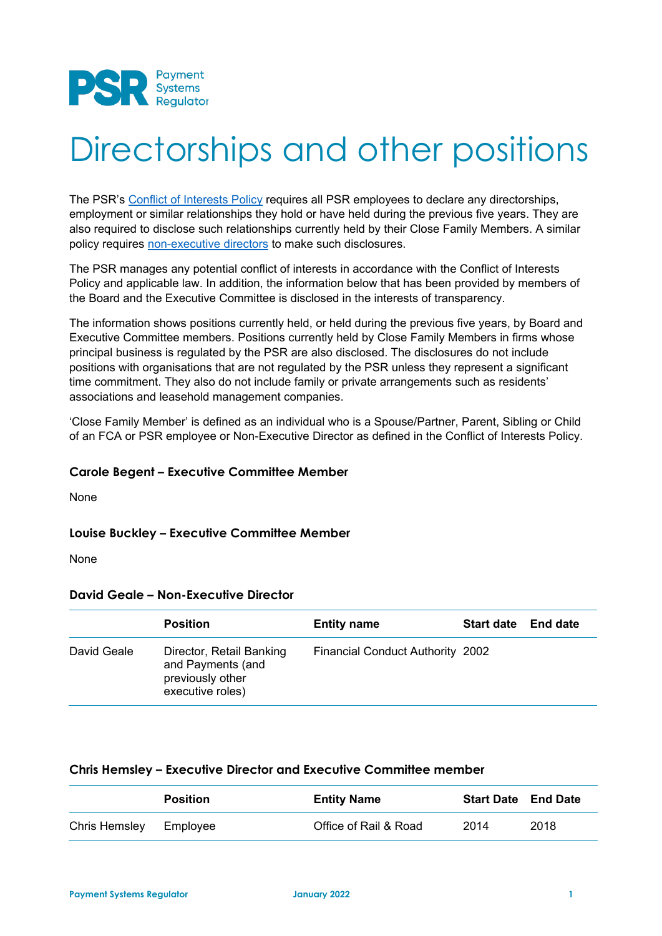

# Directorships and other positions

The PSR's [Conflict of Interests Policy](https://www.fca.org.uk/publication/corporate/fca-employee-handbook.pdf#page=8) requires all PSR employees to declare any directorships, employment or similar relationships they hold or have held during the previous five years. They are also required to disclose such relationships currently held by their Close Family Members. A similar policy requires [non-executive directors](https://www.psr.org.uk/publications/general/conflict-of-interests-policy-for-non-executive-directors/) to make such disclosures.

The PSR manages any potential conflict of interests in accordance with the Conflict of Interests Policy and applicable law. In addition, the information below that has been provided by members of the Board and the Executive Committee is disclosed in the interests of transparency.

The information shows positions currently held, or held during the previous five years, by Board and Executive Committee members. Positions currently held by Close Family Members in firms whose principal business is regulated by the PSR are also disclosed. The disclosures do not include positions with organisations that are not regulated by the PSR unless they represent a significant time commitment. They also do not include family or private arrangements such as residents' associations and leasehold management companies.

'Close Family Member' is defined as an individual who is a Spouse/Partner, Parent, Sibling or Child of an FCA or PSR employee or Non-Executive Director as defined in the Conflict of Interests Policy.

#### **Carole Begent – Executive Committee Member**

None

#### **Louise Buckley – Executive Committee Member**

None

#### **David Geale – Non-Executive Director**

|             | <b>Position</b>                                                                       | <b>Entity name</b>                      | <b>Start date</b> End date |  |
|-------------|---------------------------------------------------------------------------------------|-----------------------------------------|----------------------------|--|
| David Geale | Director, Retail Banking<br>and Payments (and<br>previously other<br>executive roles) | <b>Financial Conduct Authority 2002</b> |                            |  |

#### **Chris Hemsley – Executive Director and Executive Committee member**

|                        | <b>Position</b> | <b>Entity Name</b>    | <b>Start Date</b> End Date |      |
|------------------------|-----------------|-----------------------|----------------------------|------|
| Chris Hemsley Employee |                 | Office of Rail & Road | 2014                       | 2018 |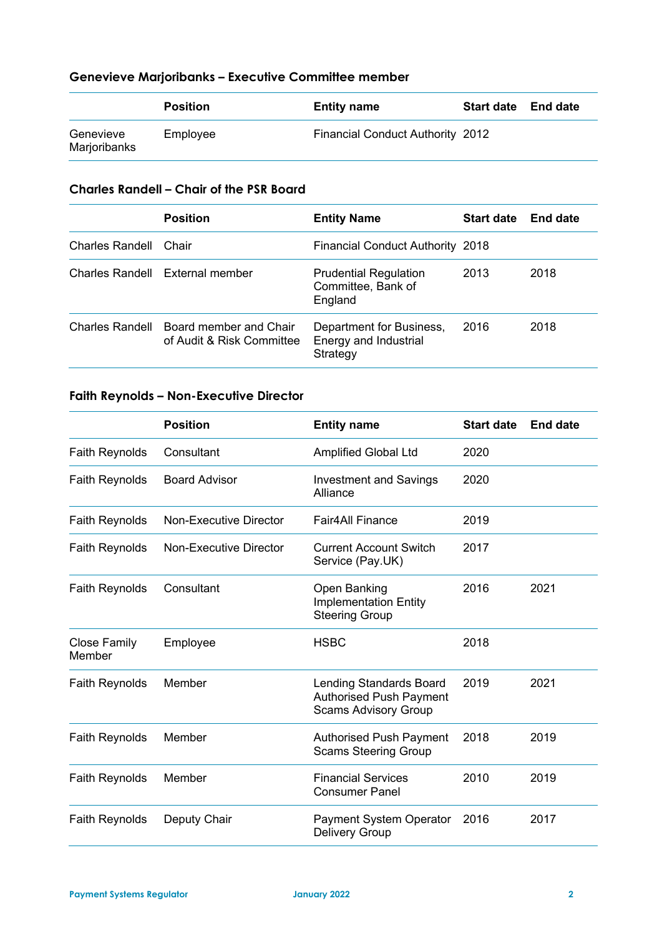# **Genevieve Marjoribanks – Executive Committee member**

|                           | Position | <b>Entity name</b>                      | Start date End date |  |
|---------------------------|----------|-----------------------------------------|---------------------|--|
| Genevieve<br>Marjoribanks | Employee | <b>Financial Conduct Authority 2012</b> |                     |  |

# **Charles Randell – Chair of the PSR Board**

|                 | <b>Position</b>                                                     | <b>Entity Name</b>                                            | <b>Start date</b> | <b>End date</b> |
|-----------------|---------------------------------------------------------------------|---------------------------------------------------------------|-------------------|-----------------|
| Charles Randell | Chair                                                               | <b>Financial Conduct Authority 2018</b>                       |                   |                 |
|                 | Charles Randell External member                                     | <b>Prudential Regulation</b><br>Committee, Bank of<br>England | 2013              | 2018            |
|                 | Charles Randell Board member and Chair<br>of Audit & Risk Committee | Department for Business,<br>Energy and Industrial<br>Strategy | 2016              | 2018            |

### **Faith Reynolds – Non-Executive Director**

|                               | <b>Position</b>        | <b>Entity name</b>                                                                       | <b>Start date</b> | <b>End date</b> |
|-------------------------------|------------------------|------------------------------------------------------------------------------------------|-------------------|-----------------|
| <b>Faith Reynolds</b>         | Consultant             | <b>Amplified Global Ltd</b>                                                              | 2020              |                 |
| <b>Faith Reynolds</b>         | <b>Board Advisor</b>   | <b>Investment and Savings</b><br>Alliance                                                | 2020              |                 |
| <b>Faith Reynolds</b>         | Non-Executive Director | <b>Fair4All Finance</b>                                                                  | 2019              |                 |
| <b>Faith Reynolds</b>         | Non-Executive Director | <b>Current Account Switch</b><br>Service (Pay.UK)                                        | 2017              |                 |
| <b>Faith Reynolds</b>         | Consultant             | Open Banking<br><b>Implementation Entity</b><br><b>Steering Group</b>                    | 2016              | 2021            |
| <b>Close Family</b><br>Member | Employee               | <b>HSBC</b>                                                                              | 2018              |                 |
| <b>Faith Reynolds</b>         | Member                 | Lending Standards Board<br><b>Authorised Push Payment</b><br><b>Scams Advisory Group</b> | 2019              | 2021            |
| <b>Faith Reynolds</b>         | Member                 | <b>Authorised Push Payment</b><br><b>Scams Steering Group</b>                            | 2018              | 2019            |
| <b>Faith Reynolds</b>         | Member                 | <b>Financial Services</b><br><b>Consumer Panel</b>                                       | 2010              | 2019            |
| <b>Faith Reynolds</b>         | Deputy Chair           | <b>Payment System Operator</b><br><b>Delivery Group</b>                                  | 2016              | 2017            |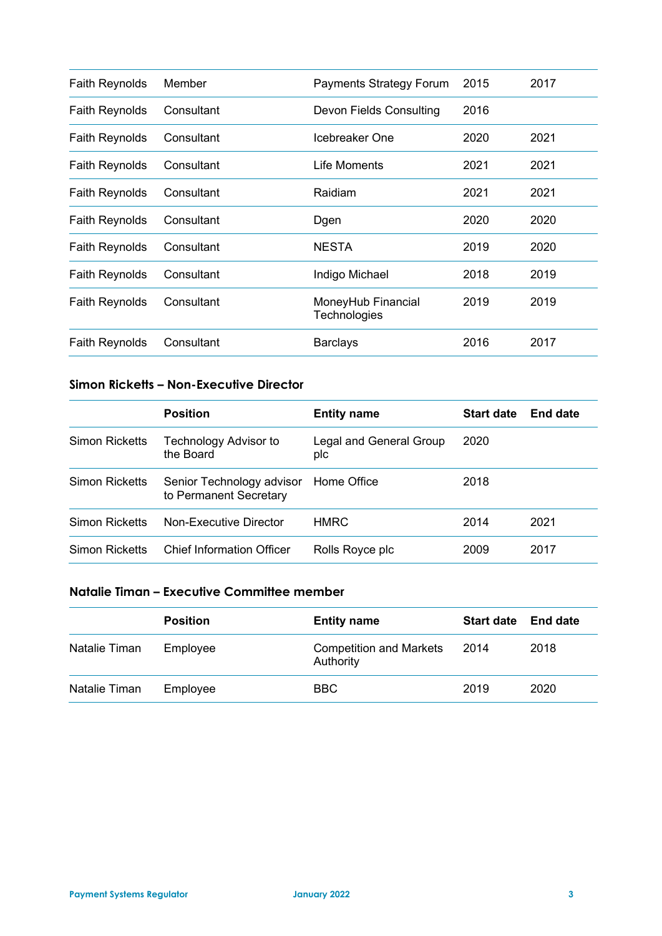| <b>Faith Reynolds</b> | Member     | <b>Payments Strategy Forum</b>     | 2015 | 2017 |
|-----------------------|------------|------------------------------------|------|------|
| <b>Faith Reynolds</b> | Consultant | <b>Devon Fields Consulting</b>     | 2016 |      |
| <b>Faith Reynolds</b> | Consultant | Icebreaker One                     | 2020 | 2021 |
| <b>Faith Reynolds</b> | Consultant | Life Moments                       | 2021 | 2021 |
| <b>Faith Reynolds</b> | Consultant | Raidiam                            | 2021 | 2021 |
| <b>Faith Reynolds</b> | Consultant | Dgen                               | 2020 | 2020 |
| <b>Faith Reynolds</b> | Consultant | <b>NESTA</b>                       | 2019 | 2020 |
| <b>Faith Reynolds</b> | Consultant | Indigo Michael                     | 2018 | 2019 |
| <b>Faith Reynolds</b> | Consultant | MoneyHub Financial<br>Technologies | 2019 | 2019 |
| Faith Reynolds        | Consultant | <b>Barclays</b>                    | 2016 | 2017 |

# **Simon Ricketts – Non-Executive Director**

|                | <b>Position</b>                                     | <b>Entity name</b>             | <b>Start date</b> | End date |
|----------------|-----------------------------------------------------|--------------------------------|-------------------|----------|
| Simon Ricketts | Technology Advisor to<br>the Board                  | Legal and General Group<br>plc | 2020              |          |
| Simon Ricketts | Senior Technology advisor<br>to Permanent Secretary | Home Office                    | 2018              |          |
| Simon Ricketts | Non-Executive Director                              | <b>HMRC</b>                    | 2014              | 2021     |
| Simon Ricketts | <b>Chief Information Officer</b>                    | Rolls Royce plc                | 2009              | 2017     |

## **Natalie Timan – Executive Committee member**

|               | <b>Position</b> | <b>Entity name</b>                          | <b>Start date</b> | <b>End date</b> |
|---------------|-----------------|---------------------------------------------|-------------------|-----------------|
| Natalie Timan | Employee        | <b>Competition and Markets</b><br>Authority | 2014              | 2018            |
| Natalie Timan | Employee        | BBC                                         | 2019              | 2020            |